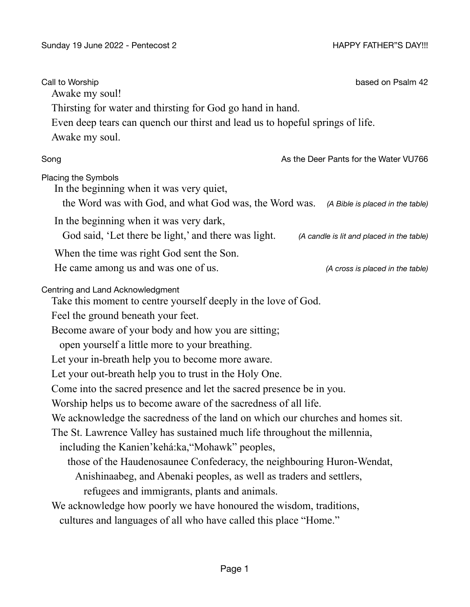| Call to Worship<br>Awake my soul!                                                                                                                          | based on Psalm 42                         |
|------------------------------------------------------------------------------------------------------------------------------------------------------------|-------------------------------------------|
| Thirsting for water and thirsting for God go hand in hand.                                                                                                 |                                           |
| Even deep tears can quench our thirst and lead us to hopeful springs of life.                                                                              |                                           |
| Awake my soul.                                                                                                                                             |                                           |
| Song                                                                                                                                                       | As the Deer Pants for the Water VU766     |
| Placing the Symbols<br>In the beginning when it was very quiet,<br>the Word was with God, and what God was, the Word was. (A Bible is placed in the table) |                                           |
| In the beginning when it was very dark,<br>God said, 'Let there be light,' and there was light.                                                            | (A candle is lit and placed in the table) |
| When the time was right God sent the Son.<br>He came among us and was one of us.                                                                           | (A cross is placed in the table)          |
| Centring and Land Acknowledgment<br>Take this moment to centre yourself deeply in the love of God.                                                         |                                           |
| Feel the ground beneath your feet.                                                                                                                         |                                           |
| Become aware of your body and how you are sitting;                                                                                                         |                                           |
| open yourself a little more to your breathing.                                                                                                             |                                           |
| Let your in-breath help you to become more aware.                                                                                                          |                                           |
| Let your out-breath help you to trust in the Holy One.                                                                                                     |                                           |
| Come into the sacred presence and let the sacred presence be in you.                                                                                       |                                           |
| Worship helps us to become aware of the sacredness of all life.                                                                                            |                                           |
| We acknowledge the sacredness of the land on which our churches and homes sit.                                                                             |                                           |
| The St. Lawrence Valley has sustained much life throughout the millennia,                                                                                  |                                           |
| including the Kanien' kehá: ka, "Mohawk" peoples,                                                                                                          |                                           |
| those of the Haudenosaunee Confederacy, the neighbouring Huron-Wendat,                                                                                     |                                           |
| Anishinaabeg, and Abenaki peoples, as well as traders and settlers,                                                                                        |                                           |
| refugees and immigrants, plants and animals.                                                                                                               |                                           |
| We acknowledge how poorly we have honoured the wisdom, traditions,<br>cultures and languages of all who have called this place "Home."                     |                                           |
|                                                                                                                                                            |                                           |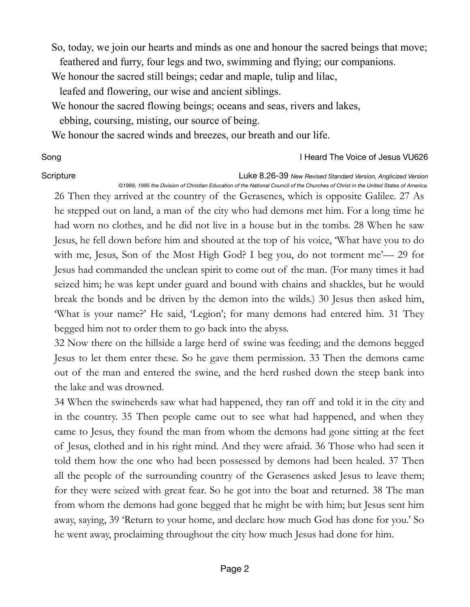So, today, we join our hearts and minds as one and honour the sacred beings that move; feathered and furry, four legs and two, swimming and flying; our companions.

We honour the sacred still beings; cedar and maple, tulip and lilac,

leafed and flowering, our wise and ancient siblings.

We honour the sacred flowing beings; oceans and seas, rivers and lakes,

ebbing, coursing, misting, our source of being.

We honour the sacred winds and breezes, our breath and our life.

Song **I Heard The Voice of Jesus VU626** 

Scripture **Communist Communist Communist Communist Communist Communist Communist Communist Communist Communist Communist Communist Communist Communist Communist Communist Communist Communist Communist Communist Communist C** *©1989, 1995 the Division of Christian Education of the National Council of the Churches of Christ in the United States of America.*

26 Then they arrived at the country of the Gerasenes, which is opposite Galilee. 27 As he stepped out on land, a man of the city who had demons met him. For a long time he had worn no clothes, and he did not live in a house but in the tombs. 28 When he saw Jesus, he fell down before him and shouted at the top of his voice, 'What have you to do with me, Jesus, Son of the Most High God? I beg you, do not torment me'— 29 for Jesus had commanded the unclean spirit to come out of the man. (For many times it had seized him; he was kept under guard and bound with chains and shackles, but he would break the bonds and be driven by the demon into the wilds.) 30 Jesus then asked him, 'What is your name?' He said, 'Legion'; for many demons had entered him. 31 They begged him not to order them to go back into the abyss.

32 Now there on the hillside a large herd of swine was feeding; and the demons begged Jesus to let them enter these. So he gave them permission. 33 Then the demons came out of the man and entered the swine, and the herd rushed down the steep bank into the lake and was drowned.

34 When the swineherds saw what had happened, they ran off and told it in the city and in the country. 35 Then people came out to see what had happened, and when they came to Jesus, they found the man from whom the demons had gone sitting at the feet of Jesus, clothed and in his right mind. And they were afraid. 36 Those who had seen it told them how the one who had been possessed by demons had been healed. 37 Then all the people of the surrounding country of the Gerasenes asked Jesus to leave them; for they were seized with great fear. So he got into the boat and returned. 38 The man from whom the demons had gone begged that he might be with him; but Jesus sent him away, saying, 39 'Return to your home, and declare how much God has done for you.' So he went away, proclaiming throughout the city how much Jesus had done for him.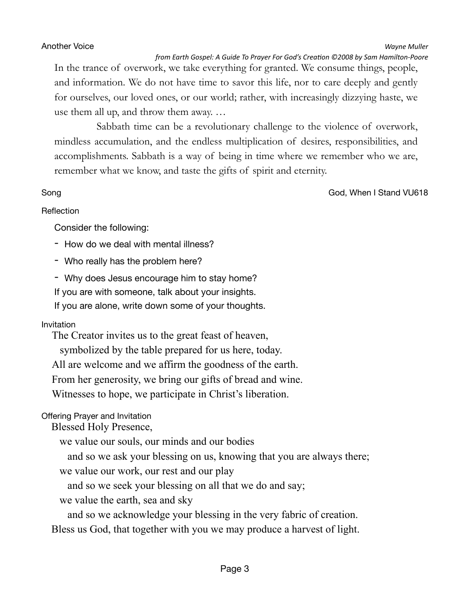### Another Voice **Wayne** Muller **Wayne** Muller

*from Earth Gospel: A Guide To Prayer For God's Creation ©2008 by Sam Hamilton-Poore* 

In the trance of overwork, we take everything for granted. We consume things, people, and information. We do not have time to savor this life, nor to care deeply and gently for ourselves, our loved ones, or our world; rather, with increasingly dizzying haste, we use them all up, and throw them away. …

Sabbath time can be a revolutionary challenge to the violence of overwork, mindless accumulation, and the endless multiplication of desires, responsibilities, and accomplishments. Sabbath is a way of being in time where we remember who we are, remember what we know, and taste the gifts of spirit and eternity.

Song God, When I Stand VU618

### Reflection

Consider the following:

- How do we deal with mental illness?

- Who really has the problem here?

- Why does Jesus encourage him to stay home?

If you are with someone, talk about your insights.

If you are alone, write down some of your thoughts.

# Invitation

The Creator invites us to the great feast of heaven,

symbolized by the table prepared for us here, today.

All are welcome and we affirm the goodness of the earth.

From her generosity, we bring our gifts of bread and wine.

Witnesses to hope, we participate in Christ's liberation.

# Offering Prayer and Invitation

Blessed Holy Presence,

we value our souls, our minds and our bodies

and so we ask your blessing on us, knowing that you are always there;

we value our work, our rest and our play

and so we seek your blessing on all that we do and say;

we value the earth, sea and sky

and so we acknowledge your blessing in the very fabric of creation.

Bless us God, that together with you we may produce a harvest of light.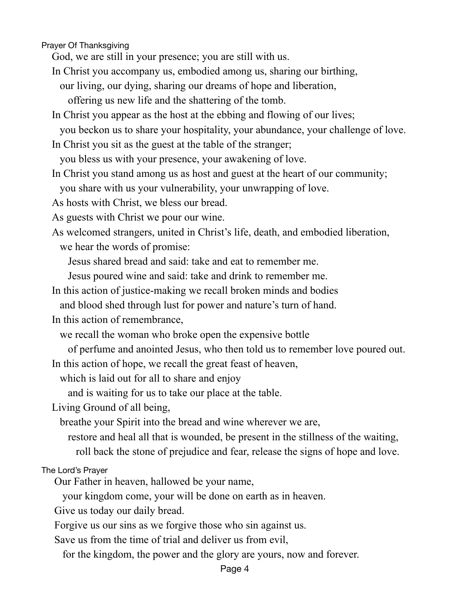Prayer Of Thanksgiving

God, we are still in your presence; you are still with us.

In Christ you accompany us, embodied among us, sharing our birthing,

our living, our dying, sharing our dreams of hope and liberation,

offering us new life and the shattering of the tomb.

In Christ you appear as the host at the ebbing and flowing of our lives;

you beckon us to share your hospitality, your abundance, your challenge of love.

In Christ you sit as the guest at the table of the stranger;

you bless us with your presence, your awakening of love.

In Christ you stand among us as host and guest at the heart of our community;

you share with us your vulnerability, your unwrapping of love.

As hosts with Christ, we bless our bread.

As guests with Christ we pour our wine.

As welcomed strangers, united in Christ's life, death, and embodied liberation, we hear the words of promise:

Jesus shared bread and said: take and eat to remember me.

Jesus poured wine and said: take and drink to remember me.

In this action of justice-making we recall broken minds and bodies

and blood shed through lust for power and nature's turn of hand.

In this action of remembrance,

we recall the woman who broke open the expensive bottle

of perfume and anointed Jesus, who then told us to remember love poured out.

In this action of hope, we recall the great feast of heaven,

which is laid out for all to share and enjoy

and is waiting for us to take our place at the table.

Living Ground of all being,

breathe your Spirit into the bread and wine wherever we are,

restore and heal all that is wounded, be present in the stillness of the waiting,

roll back the stone of prejudice and fear, release the signs of hope and love.

The Lord's Prayer

Our Father in heaven, hallowed be your name,

your kingdom come, your will be done on earth as in heaven.

Give us today our daily bread.

Forgive us our sins as we forgive those who sin against us.

Save us from the time of trial and deliver us from evil,

for the kingdom, the power and the glory are yours, now and forever.